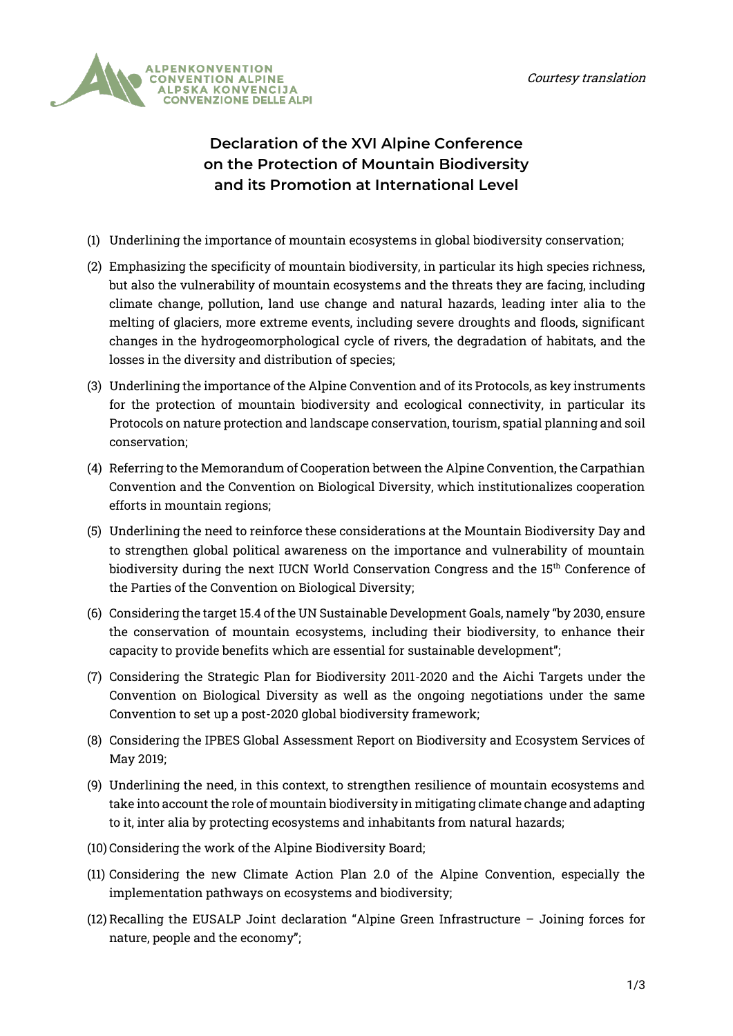

## **Declaration of the XVI Alpine Conference on the Protection of Mountain Biodiversity and its Promotion at International Level**

- (1) Underlining the importance of mountain ecosystems in global biodiversity conservation;
- (2) Emphasizing the specificity of mountain biodiversity, in particular its high species richness, but also the vulnerability of mountain ecosystems and the threats they are facing, including climate change, pollution, land use change and natural hazards, leading inter alia to the melting of glaciers, more extreme events, including severe droughts and floods, significant changes in the hydrogeomorphological cycle of rivers, the degradation of habitats, and the losses in the diversity and distribution of species;
- (3) Underlining the importance of the Alpine Convention and of its Protocols, as key instruments for the protection of mountain biodiversity and ecological connectivity, in particular its Protocols on nature protection and landscape conservation, tourism, spatial planning and soil conservation;
- (4) Referring to the Memorandum of Cooperation between the Alpine Convention, the Carpathian Convention and the Convention on Biological Diversity, which institutionalizes cooperation efforts in mountain regions;
- (5) Underlining the need to reinforce these considerations at the Mountain Biodiversity Day and to strengthen global political awareness on the importance and vulnerability of mountain biodiversity during the next IUCN World Conservation Congress and the 15<sup>th</sup> Conference of the Parties of the Convention on Biological Diversity;
- (6) Considering the target 15.4 of the UN Sustainable Development Goals, namely "by 2030, ensure the conservation of mountain ecosystems, including their biodiversity, to enhance their capacity to provide benefits which are essential for sustainable development";
- (7) Considering the Strategic Plan for Biodiversity 2011-2020 and the Aichi Targets under the Convention on Biological Diversity as well as the ongoing negotiations under the same Convention to set up a post-2020 global biodiversity framework;
- (8) Considering the IPBES Global Assessment Report on Biodiversity and Ecosystem Services of May 2019;
- (9) Underlining the need, in this context, to strengthen resilience of mountain ecosystems and take into account the role of mountain biodiversity in mitigating climate change and adapting to it, inter alia by protecting ecosystems and inhabitants from natural hazards;
- (10) Considering the work of the Alpine Biodiversity Board;
- (11) Considering the new Climate Action Plan 2.0 of the Alpine Convention, especially the implementation pathways on ecosystems and biodiversity;
- (12) Recalling the EUSALP Joint declaration "Alpine Green Infrastructure Joining forces for nature, people and the economy";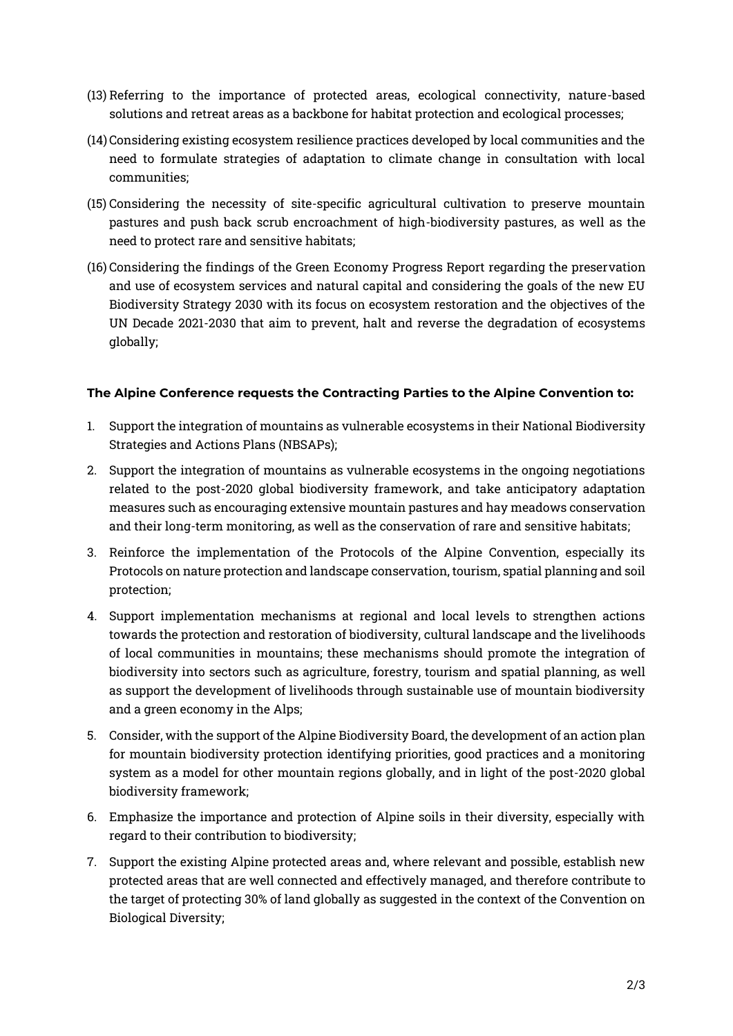- (13) Referring to the importance of protected areas, ecological connectivity, nature-based solutions and retreat areas as a backbone for habitat protection and ecological processes;
- (14) Considering existing ecosystem resilience practices developed by local communities and the need to formulate strategies of adaptation to climate change in consultation with local communities;
- (15) Considering the necessity of site-specific agricultural cultivation to preserve mountain pastures and push back scrub encroachment of high-biodiversity pastures, as well as the need to protect rare and sensitive habitats;
- (16) Considering the findings of the Green Economy Progress Report regarding the preservation and use of ecosystem services and natural capital and considering the goals of the new EU Biodiversity Strategy 2030 with its focus on ecosystem restoration and the objectives of the UN Decade 2021-2030 that aim to prevent, halt and reverse the degradation of ecosystems globally;

## **The Alpine Conference requests the Contracting Parties to the Alpine Convention to:**

- 1. Support the integration of mountains as vulnerable ecosystems in their National Biodiversity Strategies and Actions Plans (NBSAPs);
- 2. Support the integration of mountains as vulnerable ecosystems in the ongoing negotiations related to the post-2020 global biodiversity framework, and take anticipatory adaptation measures such as encouraging extensive mountain pastures and hay meadows conservation and their long-term monitoring, as well as the conservation of rare and sensitive habitats;
- 3. Reinforce the implementation of the Protocols of the Alpine Convention, especially its Protocols on nature protection and landscape conservation, tourism, spatial planning and soil protection;
- 4. Support implementation mechanisms at regional and local levels to strengthen actions towards the protection and restoration of biodiversity, cultural landscape and the livelihoods of local communities in mountains; these mechanisms should promote the integration of biodiversity into sectors such as agriculture, forestry, tourism and spatial planning, as well as support the development of livelihoods through sustainable use of mountain biodiversity and a green economy in the Alps;
- 5. Consider, with the support of the Alpine Biodiversity Board, the development of an action plan for mountain biodiversity protection identifying priorities, good practices and a monitoring system as a model for other mountain regions globally, and in light of the post-2020 global biodiversity framework;
- 6. Emphasize the importance and protection of Alpine soils in their diversity, especially with regard to their contribution to biodiversity;
- 7. Support the existing Alpine protected areas and, where relevant and possible, establish new protected areas that are well connected and effectively managed, and therefore contribute to the target of protecting 30% of land globally as suggested in the context of the Convention on Biological Diversity;